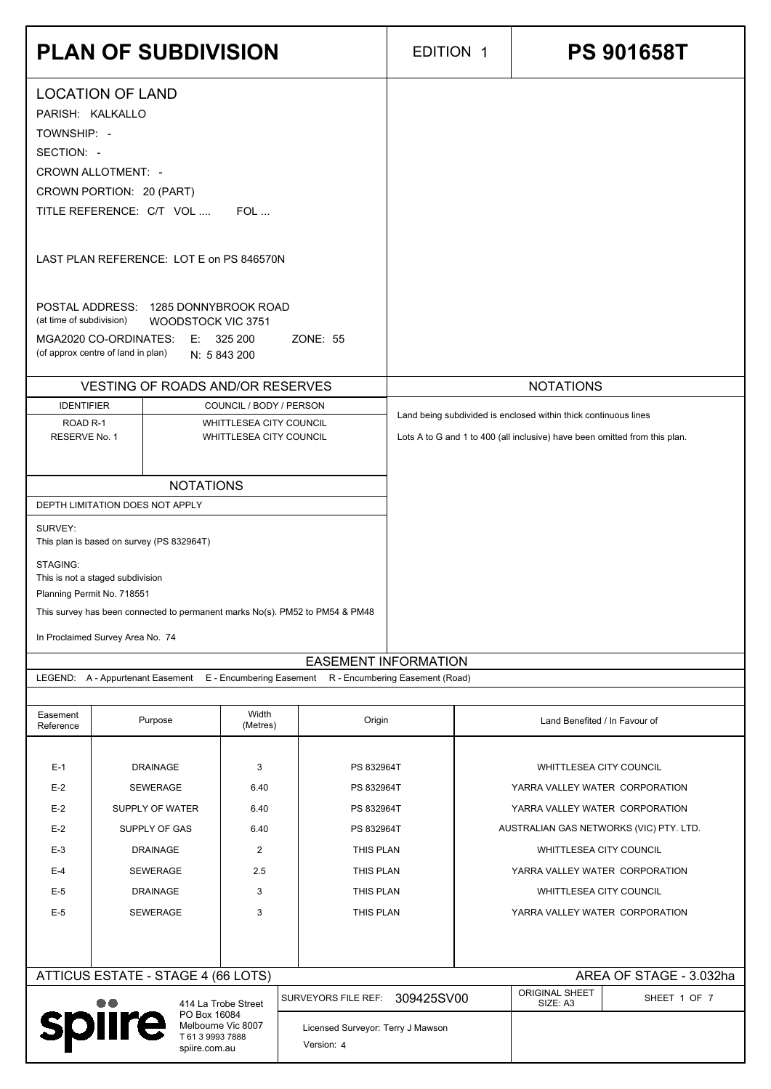|                                                                                                                               | <b>PLAN OF SUBDIVISION</b>                                                                                 |                                                    |                                   | <b>EDITION 1</b>                                                           | <b>PS 901658T</b>                                                |
|-------------------------------------------------------------------------------------------------------------------------------|------------------------------------------------------------------------------------------------------------|----------------------------------------------------|-----------------------------------|----------------------------------------------------------------------------|------------------------------------------------------------------|
|                                                                                                                               | <b>LOCATION OF LAND</b>                                                                                    |                                                    |                                   |                                                                            |                                                                  |
| TOWNSHIP: -                                                                                                                   | PARISH: KALKALLO                                                                                           |                                                    |                                   |                                                                            |                                                                  |
| SECTION: -                                                                                                                    | <b>CROWN ALLOTMENT: -</b>                                                                                  |                                                    |                                   |                                                                            |                                                                  |
|                                                                                                                               | CROWN PORTION: 20 (PART)<br>TITLE REFERENCE: C/T VOL                                                       | $FOL$                                              |                                   |                                                                            |                                                                  |
| LAST PLAN REFERENCE: LOT E on PS 846570N                                                                                      |                                                                                                            |                                                    |                                   |                                                                            |                                                                  |
|                                                                                                                               | POSTAL ADDRESS: 1285 DONNYBROOK ROAD                                                                       |                                                    |                                   |                                                                            |                                                                  |
| (at time of subdivision)                                                                                                      | <b>WOODSTOCK VIC 3751</b><br>MGA2020 CO-ORDINATES:<br>(of approx centre of land in plan)                   | E: 325200<br>N: 5 843 200                          | ZONE: 55                          |                                                                            |                                                                  |
|                                                                                                                               | <b>VESTING OF ROADS AND/OR RESERVES</b>                                                                    |                                                    |                                   |                                                                            | <b>NOTATIONS</b>                                                 |
| <b>IDENTIFIER</b><br>ROAD <sub>R-1</sub>                                                                                      |                                                                                                            | COUNCIL / BODY / PERSON<br>WHITTLESEA CITY COUNCIL |                                   |                                                                            | Land being subdivided is enclosed within thick continuous lines  |
| RESERVE No. 1                                                                                                                 | WHITTLESEA CITY COUNCIL                                                                                    |                                                    |                                   | Lots A to G and 1 to 400 (all inclusive) have been omitted from this plan. |                                                                  |
|                                                                                                                               | <b>NOTATIONS</b><br>DEPTH LIMITATION DOES NOT APPLY                                                        |                                                    |                                   |                                                                            |                                                                  |
| SURVEY:                                                                                                                       | This plan is based on survey (PS 832964T)                                                                  |                                                    |                                   |                                                                            |                                                                  |
| STAGING:                                                                                                                      | This is not a staged subdivision                                                                           |                                                    |                                   |                                                                            |                                                                  |
|                                                                                                                               | Planning Permit No. 718551<br>This survey has been connected to permanent marks No(s). PM52 to PM54 & PM48 |                                                    |                                   |                                                                            |                                                                  |
|                                                                                                                               | In Proclaimed Survey Area No. 74                                                                           |                                                    | <b>EASEMENT INFORMATION</b>       |                                                                            |                                                                  |
|                                                                                                                               | LEGEND: A - Appurtenant Easement E - Encumbering Easement R - Encumbering Easement (Road)                  |                                                    |                                   |                                                                            |                                                                  |
| Easement<br>Reference                                                                                                         | Purpose                                                                                                    | Width<br>(Metres)                                  | Origin                            |                                                                            | Land Benefited / In Favour of                                    |
| $E-1$                                                                                                                         | <b>DRAINAGE</b>                                                                                            | 3                                                  | PS 832964T                        |                                                                            | WHITTLESEA CITY COUNCIL                                          |
| $E-2$<br>$E-2$                                                                                                                | <b>SEWERAGE</b><br>SUPPLY OF WATER                                                                         | 6.40<br>6.40                                       | PS 832964T<br>PS 832964T          |                                                                            | YARRA VALLEY WATER CORPORATION<br>YARRA VALLEY WATER CORPORATION |
| $E-2$                                                                                                                         | SUPPLY OF GAS                                                                                              | 6.40                                               | PS 832964T                        |                                                                            | AUSTRALIAN GAS NETWORKS (VIC) PTY. LTD.                          |
| $E-3$<br>$E-4$                                                                                                                | <b>DRAINAGE</b><br><b>SEWERAGE</b>                                                                         | $\overline{c}$<br>2.5                              | THIS PLAN<br>THIS PLAN            |                                                                            | WHITTLESEA CITY COUNCIL<br>YARRA VALLEY WATER CORPORATION        |
| $E-5$                                                                                                                         | <b>DRAINAGE</b>                                                                                            | $\mathfrak{B}$                                     | THIS PLAN                         |                                                                            | WHITTLESEA CITY COUNCIL                                          |
| $E-5$                                                                                                                         | <b>SEWERAGE</b>                                                                                            | $\sqrt{3}$                                         | THIS PLAN                         |                                                                            | YARRA VALLEY WATER CORPORATION                                   |
|                                                                                                                               | ATTICUS ESTATE - STAGE 4 (66 LOTS)                                                                         |                                                    |                                   |                                                                            | AREA OF STAGE - 3.032ha                                          |
|                                                                                                                               |                                                                                                            |                                                    | SURVEYORS FILE REF:               | 309425SV00                                                                 | <b>ORIGINAL SHEET</b><br>SHEET 1 OF 7<br>SIZE: A3                |
| 414 La Trobe Street<br>PO Box 16084<br><b>spiire</b><br>Melbourne Vic 8007<br>T 61 3 9993 7888<br>Version: 4<br>spiire.com.au |                                                                                                            |                                                    | Licensed Surveyor: Terry J Mawson |                                                                            |                                                                  |
|                                                                                                                               |                                                                                                            |                                                    |                                   |                                                                            |                                                                  |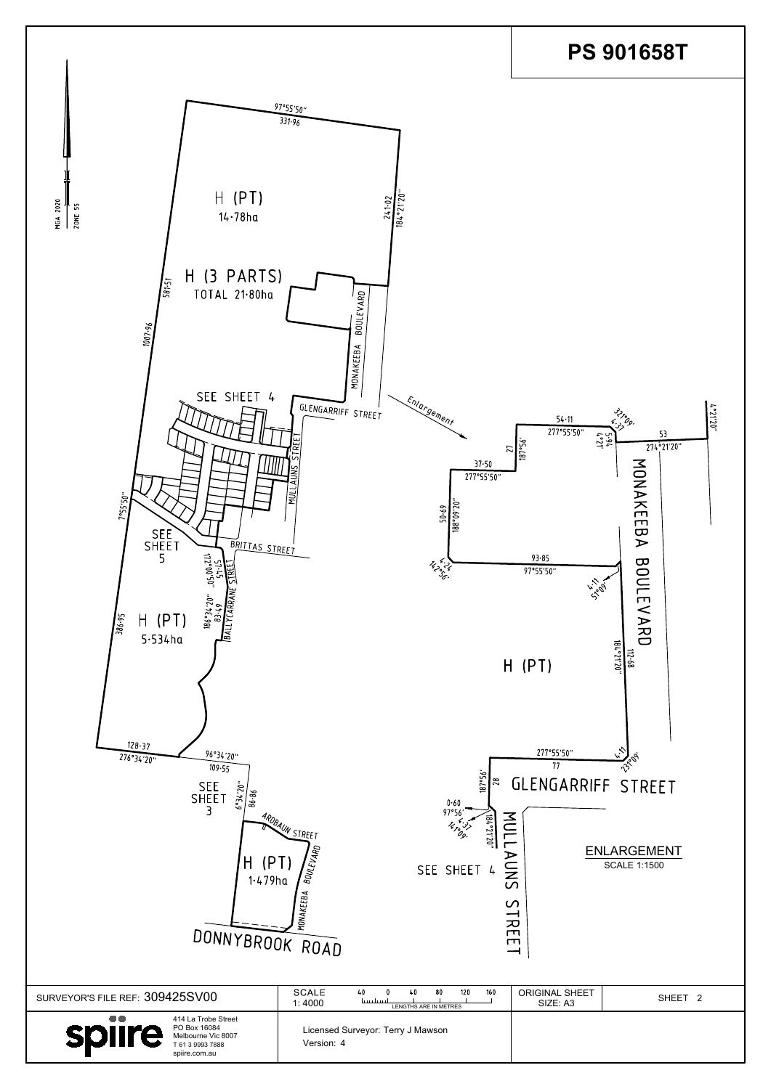| (PT)<br>H<br>$1.479$ ha<br>DONNYBROOK ROAD                                                                                   | DOAUN STREET<br>1470° 37'<br>20<br>1.02.12.5<br>$\Xi$<br><b>BOULEVARD</b><br>⋗<br>$\subseteq$<br>SEE SHEET 4<br><b>ONAKEEBA</b> | <b>ENLARGEMENT</b><br><b>SCALE 1:1500</b><br>$\overline{C}$<br>$\mathcal{C}$<br><b>TRE</b><br>$\Box$<br>ᅳ |
|------------------------------------------------------------------------------------------------------------------------------|---------------------------------------------------------------------------------------------------------------------------------|-----------------------------------------------------------------------------------------------------------|
| SURVEYOR'S FILE REF: 309425SV00                                                                                              | <b>SCALE</b><br>40<br>80<br>120<br>160<br>40<br>1111111111<br>1:4000<br>LENGTHS ARE IN METRES                                   | <b>ORIGINAL SHEET</b><br>SHEET <sub>2</sub><br>SIZE: A3                                                   |
| $\bullet\bullet$<br>414 La Trobe Street<br>PO Box 16084<br>spiire<br>Melbourne Vic 8007<br>T 61 3 9993 7888<br>spiire.com.au | Licensed Surveyor: Terry J Mawson<br>Version: 4                                                                                 |                                                                                                           |

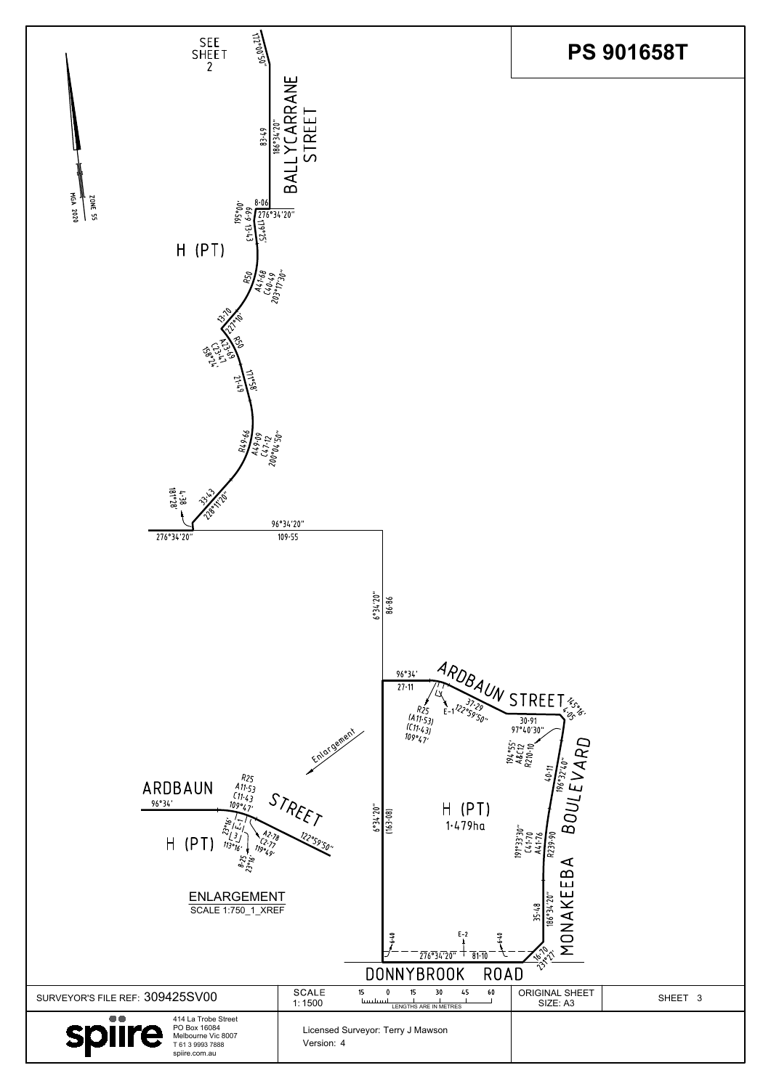| $\frac{1}{2}$<br>$\frac{1}{2}$<br>$\frac{1}{2}$<br>$\frac{1}{2}$<br>$\frac{1}{2}$<br>$A2.78$<br>$(2.72)$<br>$H$ (PT)<br>119°49,<br>8.25<br><b>ENLARGEMENT</b><br><b>SCALE 1:750_1_XREF</b> | <u> 1</u><br>$\frac{122}{59.50}$ " | $\mathbb{S}[\mathbb{S}]$<br>$1.479$ ha<br>$E-2$<br>$\frac{1}{276}$ $\frac{1}{3}$ $\frac{1}{4}$ $\frac{1}{20}$ $\frac{1}{20}$<br>$\overline{81}$<br><b>DONNYBROOK</b><br><b>ROAD</b> | $\boldsymbol{\omega}$<br>$\begin{array}{c}\n 191°33'30' \\ \hline\n 141.70 \\ \hline\n A41.76 \\ \hline\n 1839.90\n \end{array}$<br>$\Omega$<br>ட<br>E<br>K<br>20"<br>35-48<br>9g)<br>$\sum_{i=1}^{n}$<br>$\sqrt{670}$ |         |
|--------------------------------------------------------------------------------------------------------------------------------------------------------------------------------------------|------------------------------------|-------------------------------------------------------------------------------------------------------------------------------------------------------------------------------------|------------------------------------------------------------------------------------------------------------------------------------------------------------------------------------------------------------------------|---------|
| SURVEYOR'S FILE REF: 309425SV00                                                                                                                                                            | <b>SCALE</b><br>15<br>1:1500       | 60<br>45<br>15<br>30<br>ويسلسبنا<br>LENGTHS ARE IN METRES                                                                                                                           | <b>ORIGINAL SHEET</b><br>SIZE: A3                                                                                                                                                                                      | SHEET 3 |
| $\bullet\bullet$<br>414 La Trobe Street<br>PO Box 16084<br>spiire<br>Melbourne Vic 8007<br>T 61 3 9993 7888<br>spiire.com.au                                                               | Version: 4                         | Licensed Surveyor: Terry J Mawson                                                                                                                                                   |                                                                                                                                                                                                                        |         |

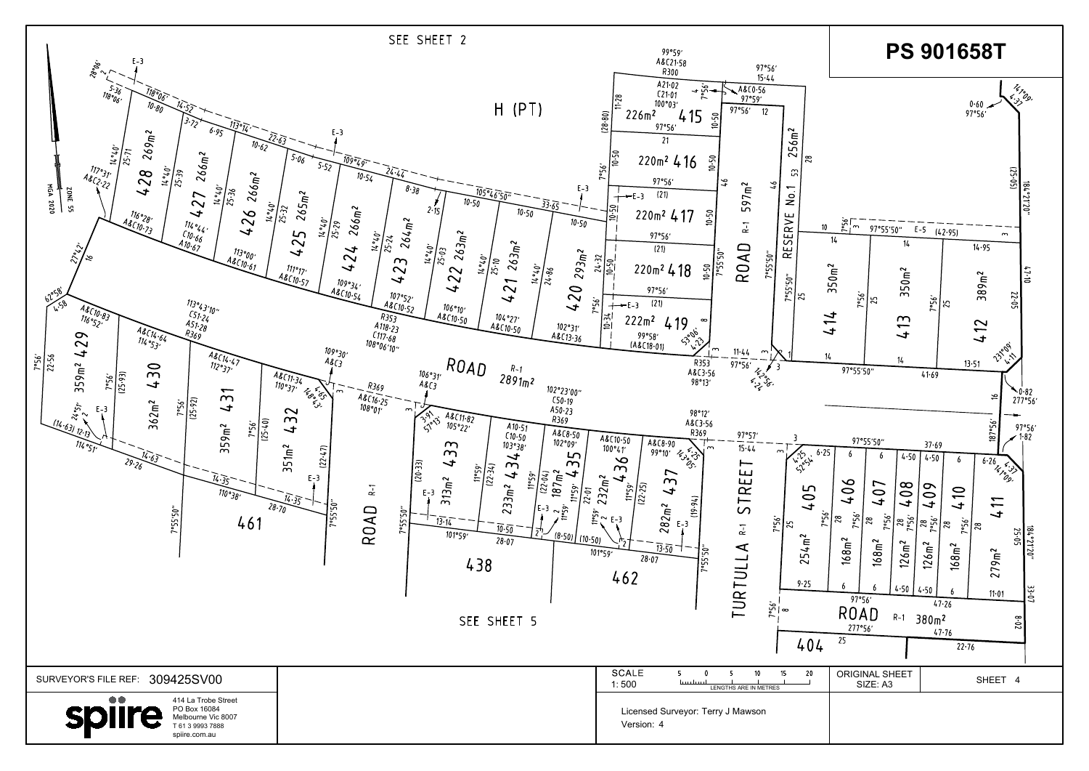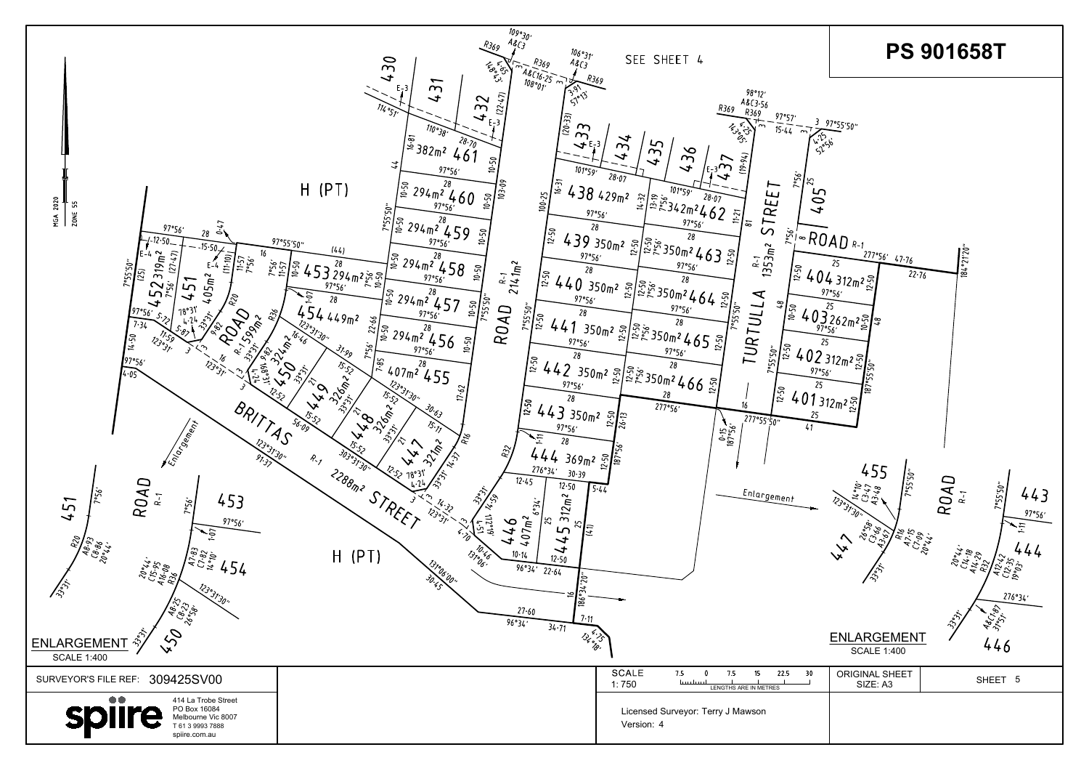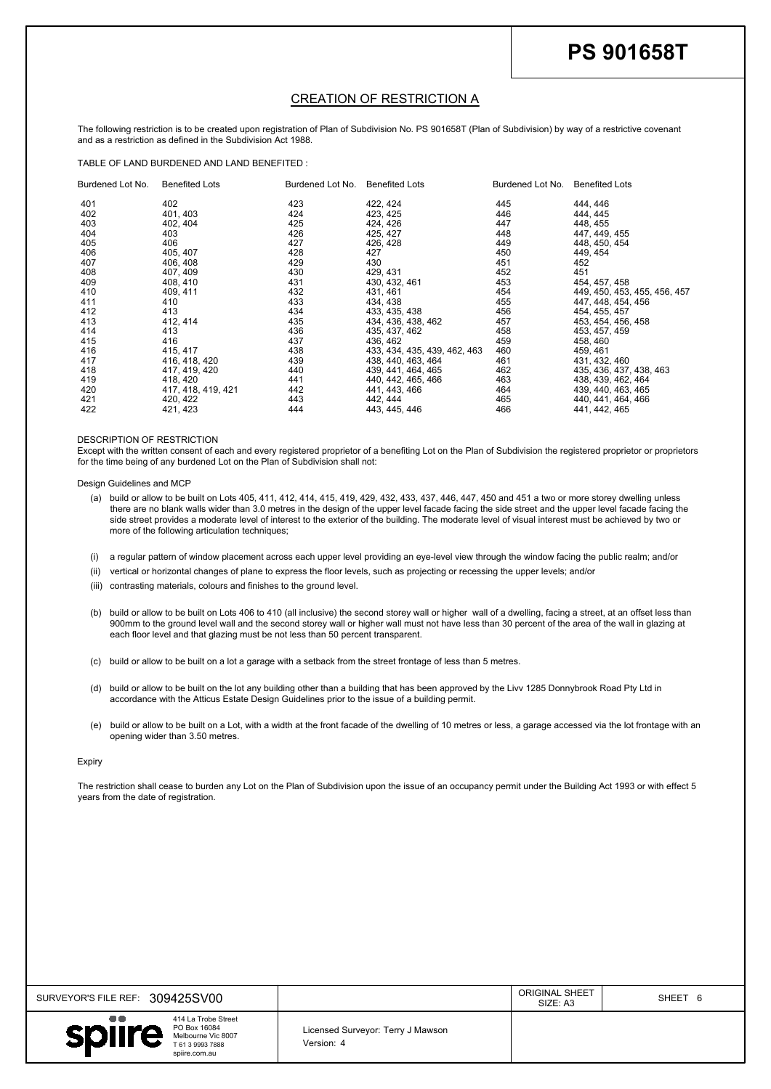| SURVEYOR'S FILE REF: 309425SV00                                                                                              |                                                 | <b>ORIGINAL SHEET</b><br>SIZE: A3 | SHEET 6 |
|------------------------------------------------------------------------------------------------------------------------------|-------------------------------------------------|-----------------------------------|---------|
| $\bullet\bullet$<br>414 La Trobe Street<br>PO Box 16084<br>spiire<br>Melbourne Vic 8007<br>T 61 3 9993 7888<br>spiire.com.au | Licensed Surveyor: Terry J Mawson<br>Version: 4 |                                   |         |

|                      |                                                                                                                                                                                                                                                                                                                                                                                                                                                                                                                     |                   |                                                                                                                                                                                                                                                                                                                 |                   | <b>PS 901658T</b>                                                   |
|----------------------|---------------------------------------------------------------------------------------------------------------------------------------------------------------------------------------------------------------------------------------------------------------------------------------------------------------------------------------------------------------------------------------------------------------------------------------------------------------------------------------------------------------------|-------------------|-----------------------------------------------------------------------------------------------------------------------------------------------------------------------------------------------------------------------------------------------------------------------------------------------------------------|-------------------|---------------------------------------------------------------------|
|                      |                                                                                                                                                                                                                                                                                                                                                                                                                                                                                                                     |                   |                                                                                                                                                                                                                                                                                                                 |                   |                                                                     |
|                      |                                                                                                                                                                                                                                                                                                                                                                                                                                                                                                                     |                   | <b>CREATION OF RESTRICTION A</b>                                                                                                                                                                                                                                                                                |                   |                                                                     |
|                      | and as a restriction as defined in the Subdivision Act 1988.                                                                                                                                                                                                                                                                                                                                                                                                                                                        |                   | The following restriction is to be created upon registration of Plan of Subdivision No. PS 901658T (Plan of Subdivision) by way of a restrictive covenant                                                                                                                                                       |                   |                                                                     |
| Burdened Lot No.     | TABLE OF LAND BURDENED AND LAND BENEFITED :<br><b>Benefited Lots</b>                                                                                                                                                                                                                                                                                                                                                                                                                                                |                   | Burdened Lot No. Benefited Lots                                                                                                                                                                                                                                                                                 | Burdened Lot No.  | <b>Benefited Lots</b>                                               |
| 401<br>402<br>403    | 402<br>401, 403<br>402, 404                                                                                                                                                                                                                                                                                                                                                                                                                                                                                         | 423<br>424<br>425 | 422, 424<br>423, 425<br>424, 426                                                                                                                                                                                                                                                                                | 445<br>446<br>447 | 444, 446<br>444, 445<br>448, 455                                    |
| 404<br>405<br>406    | 403<br>406<br>405, 407                                                                                                                                                                                                                                                                                                                                                                                                                                                                                              | 426<br>427<br>428 | 425, 427<br>426, 428<br>427                                                                                                                                                                                                                                                                                     | 448<br>449<br>450 | 447, 449, 455<br>448, 450, 454<br>449, 454                          |
| 407<br>408<br>409    | 406, 408<br>407, 409<br>408, 410                                                                                                                                                                                                                                                                                                                                                                                                                                                                                    | 429<br>430<br>431 | 430<br>429, 431                                                                                                                                                                                                                                                                                                 | 451<br>452<br>453 | 452<br>451                                                          |
| 410<br>411           | 409, 411<br>410                                                                                                                                                                                                                                                                                                                                                                                                                                                                                                     | 432<br>433        | 430, 432, 461<br>431, 461<br>434, 438                                                                                                                                                                                                                                                                           | 454<br>455        | 454, 457, 458<br>449, 450, 453, 455, 456, 457<br>447, 448, 454, 456 |
| 412<br>413<br>414    | 413<br>412, 414<br>413                                                                                                                                                                                                                                                                                                                                                                                                                                                                                              | 434<br>435<br>436 | 433, 435, 438<br>434, 436, 438, 462<br>435, 437, 462                                                                                                                                                                                                                                                            | 456<br>457<br>458 | 454, 455, 457<br>453, 454, 456, 458<br>453, 457, 459                |
| 415<br>416           | 416<br>415, 417                                                                                                                                                                                                                                                                                                                                                                                                                                                                                                     | 437<br>438        | 436, 462<br>433, 434, 435, 439, 462, 463                                                                                                                                                                                                                                                                        | 459<br>460        | 458, 460<br>459, 461                                                |
| 417<br>418<br>419    | 416, 418, 420<br>417, 419, 420<br>418, 420                                                                                                                                                                                                                                                                                                                                                                                                                                                                          | 439<br>440<br>441 | 438, 440, 463, 464<br>439, 441, 464, 465<br>440, 442, 465, 466                                                                                                                                                                                                                                                  | 461<br>462<br>463 | 431, 432, 460<br>435, 436, 437, 438, 463<br>438, 439, 462, 464      |
| 420<br>421<br>422    | 417, 418, 419, 421<br>420, 422<br>421, 423                                                                                                                                                                                                                                                                                                                                                                                                                                                                          | 442<br>443<br>444 | 441, 443, 466<br>442, 444<br>443, 445, 446                                                                                                                                                                                                                                                                      | 464<br>465<br>466 | 439, 440, 463, 465<br>440, 441, 464, 466<br>441, 442, 465           |
|                      | DESCRIPTION OF RESTRICTION                                                                                                                                                                                                                                                                                                                                                                                                                                                                                          |                   | Except with the written consent of each and every registered proprietor of a benefiting Lot on the Plan of Subdivision the registered proprietor or proprietors                                                                                                                                                 |                   |                                                                     |
|                      | for the time being of any burdened Lot on the Plan of Subdivision shall not:<br>Design Guidelines and MCP                                                                                                                                                                                                                                                                                                                                                                                                           |                   |                                                                                                                                                                                                                                                                                                                 |                   |                                                                     |
|                      | (a) build or allow to be built on Lots 405, 411, 412, 414, 415, 419, 429, 432, 433, 437, 446, 447, 450 and 451 a two or more storey dwelling unless<br>there are no blank walls wider than 3.0 metres in the design of the upper level facade facing the side street and the upper level facade facing the<br>side street provides a moderate level of interest to the exterior of the building. The moderate level of visual interest must be achieved by two or<br>more of the following articulation techniques; |                   |                                                                                                                                                                                                                                                                                                                 |                   |                                                                     |
| (i)<br>(ii)<br>(iii) | a regular pattern of window placement across each upper level providing an eye-level view through the window facing the public realm; and/or<br>vertical or horizontal changes of plane to express the floor levels, such as projecting or recessing the upper levels; and/or<br>contrasting materials, colours and finishes to the ground level.                                                                                                                                                                   |                   |                                                                                                                                                                                                                                                                                                                 |                   |                                                                     |
| (b)                  | each floor level and that glazing must be not less than 50 percent transparent.                                                                                                                                                                                                                                                                                                                                                                                                                                     |                   | build or allow to be built on Lots 406 to 410 (all inclusive) the second storey wall or higher wall of a dwelling, facing a street, at an offset less than<br>900mm to the ground level wall and the second storey wall or higher wall must not have less than 30 percent of the area of the wall in glazing at |                   |                                                                     |
| (c)                  |                                                                                                                                                                                                                                                                                                                                                                                                                                                                                                                     |                   | build or allow to be built on a lot a garage with a setback from the street frontage of less than 5 metres.                                                                                                                                                                                                     |                   |                                                                     |
|                      | build or allow to be built on the lot any building other than a building that has been approved by the Livv 1285 Donnybrook Road Pty Ltd in<br>accordance with the Atticus Estate Design Guidelines prior to the issue of a building permit.                                                                                                                                                                                                                                                                        |                   |                                                                                                                                                                                                                                                                                                                 |                   |                                                                     |
| (d)                  |                                                                                                                                                                                                                                                                                                                                                                                                                                                                                                                     |                   |                                                                                                                                                                                                                                                                                                                 |                   |                                                                     |
| (e)                  | build or allow to be built on a Lot, with a width at the front facade of the dwelling of 10 metres or less, a garage accessed via the lot frontage with an<br>opening wider than 3.50 metres.                                                                                                                                                                                                                                                                                                                       |                   |                                                                                                                                                                                                                                                                                                                 |                   |                                                                     |
| <b>Expiry</b>        |                                                                                                                                                                                                                                                                                                                                                                                                                                                                                                                     |                   | The restriction shall cease to burden any Lot on the Plan of Subdivision upon the issue of an occupancy permit under the Building Act 1993 or with effect 5                                                                                                                                                     |                   |                                                                     |
|                      |                                                                                                                                                                                                                                                                                                                                                                                                                                                                                                                     |                   |                                                                                                                                                                                                                                                                                                                 |                   |                                                                     |

- 
- 
- 
- 
- 
- 
- 
-